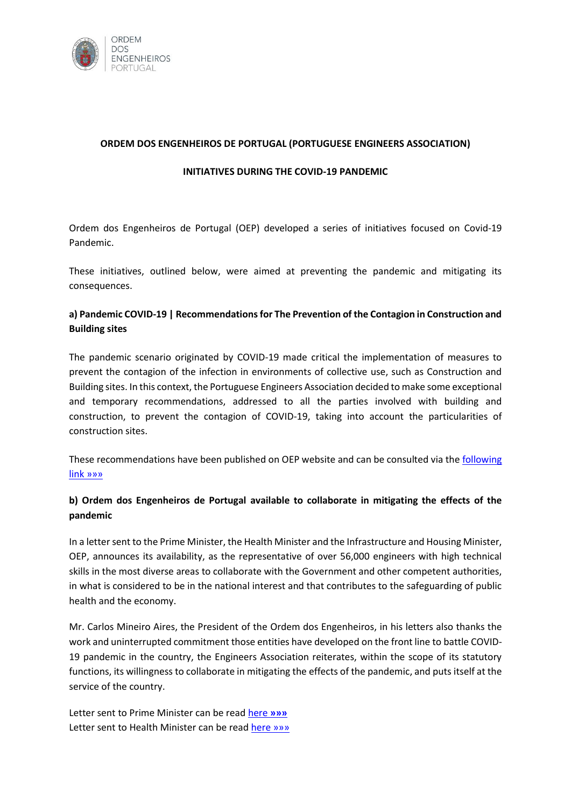

#### **ORDEM DOS ENGENHEIROS DE PORTUGAL (PORTUGUESE ENGINEERS ASSOCIATION)**

#### **INITIATIVES DURING THE COVID-19 PANDEMIC**

Ordem dos Engenheiros de Portugal (OEP) developed a series of initiatives focused on Covid-19 Pandemic.

These initiatives, outlined below, were aimed at preventing the pandemic and mitigating its consequences.

# **a) Pandemic COVID-19 | Recommendations for The Prevention of the Contagion in Construction and Building sites**

The pandemic scenario originated by COVID-19 made critical the implementation of measures to prevent the contagion of the infection in environments of collective use, such as Construction and Building sites. In this context, the Portuguese Engineers Association decided to make some exceptional and temporary recommendations, addressed to all the parties involved with building and construction, to prevent the contagion of COVID-19, taking into account the particularities of construction sites.

These recommendations have been published on OEP website and can be consulted via the [following](https://www.ordemengenheiros.pt/pt/atualidade/noticias/estaleiros-e-obras-de-construcao-recomendacoes-para-prevencao-do-contagio/)  [link »»»](https://www.ordemengenheiros.pt/pt/atualidade/noticias/estaleiros-e-obras-de-construcao-recomendacoes-para-prevencao-do-contagio/)

# **b) Ordem dos Engenheiros de Portugal available to collaborate in mitigating the effects of the pandemic**

In a letter sent to the Prime Minister, the Health Minister and the Infrastructure and Housing Minister, OEP, announces its availability, as the representative of over 56,000 engineers with high technical skills in the most diverse areas to collaborate with the Government and other competent authorities, in what is considered to be in the national interest and that contributes to the safeguarding of public health and the economy.

Mr. Carlos Mineiro Aires, the President of the Ordem dos Engenheiros, in his letters also thanks the work and uninterrupted commitment those entities have developed on the front line to battle COVID-19 pandemic in the country, the Engineers Association reiterates, within the scope of its statutory functions, its willingness to collaborate in mitigating the effects of the pandemic, and puts itself at the service of the country.

Letter sent to Prime Minister can be rea[d here](https://www.ordemengenheiros.pt/fotos/editor2/carta_oe_primeiro_ministro_marco.pdf) **»»»** Letter sent to Health Minister can be read [here »»»](https://www.ordemengenheiros.pt/fotos/editor2/carta_oe_ministra_saude_marco.pdf)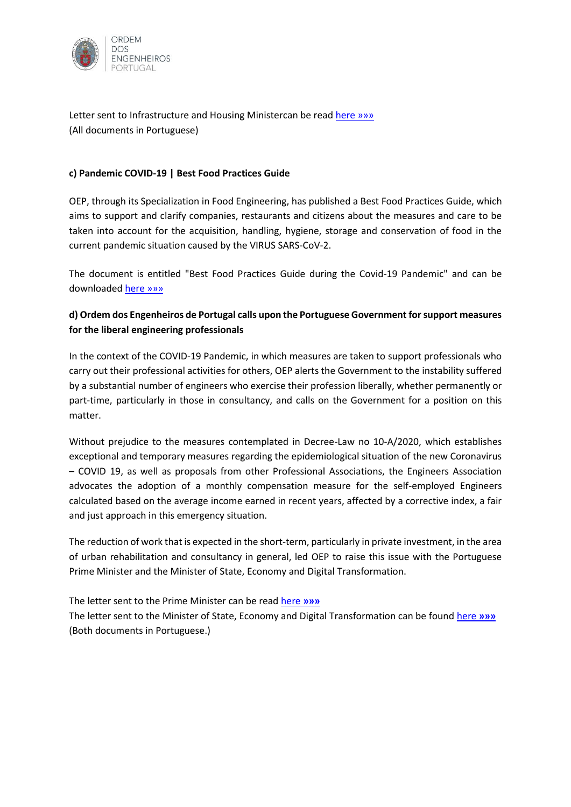

Letter sent to Infrastructure and Housing Ministercan be read [here »»»](https://www.ordemengenheiros.pt/fotos/editor2/carta_ministro_infraestruturas_habitacao_marco.pdf) (All documents in Portuguese)

### **c) Pandemic COVID-19 | Best Food Practices Guide**

OEP, through its Specialization in Food Engineering, has published a Best Food Practices Guide, which aims to support and clarify companies, restaurants and citizens about the measures and care to be taken into account for the acquisition, handling, hygiene, storage and conservation of food in the current pandemic situation caused by the VIRUS SARS-CoV-2.

The document is entitled "Best Food Practices Guide during the Covid-19 Pandemic" and can be downloaded [here »»»](https://www.ordemengenheiros.pt/fotos/editor2/guia_boas_praticas_eng_alimentar.pdf)

# **d) Ordem dos Engenheiros de Portugal calls upon the Portuguese Government for support measures for the liberal engineering professionals**

In the context of the COVID-19 Pandemic, in which measures are taken to support professionals who carry out their professional activities for others, OEP alerts the Government to the instability suffered by a substantial number of engineers who exercise their profession liberally, whether permanently or part-time, particularly in those in consultancy, and calls on the Government for a position on this matter.

Without prejudice to the measures contemplated in Decree-Law no 10-A/2020, which establishes exceptional and temporary measures regarding the epidemiological situation of the new Coronavirus – COVID 19, as well as proposals from other Professional Associations, the Engineers Association advocates the adoption of a monthly compensation measure for the self-employed Engineers calculated based on the average income earned in recent years, affected by a corrective index, a fair and just approach in this emergency situation.

The reduction of work that is expected in the short-term, particularly in private investment, in the area of urban rehabilitation and consultancy in general, led OEP to raise this issue with the Portuguese Prime Minister and the Minister of State, Economy and Digital Transformation.

The letter sent to the Prime Minister can be read [here](https://www.ordemengenheiros.pt/fotos/editor2/noticias/carta_pm.pdf) **»»»** The letter sent to the Minister of State, Economy and Digital Transformation can be found [here](https://www.ordemengenheiros.pt/fotos/editor2/noticias/carta_me.pdf) **»»»** (Both documents in Portuguese.)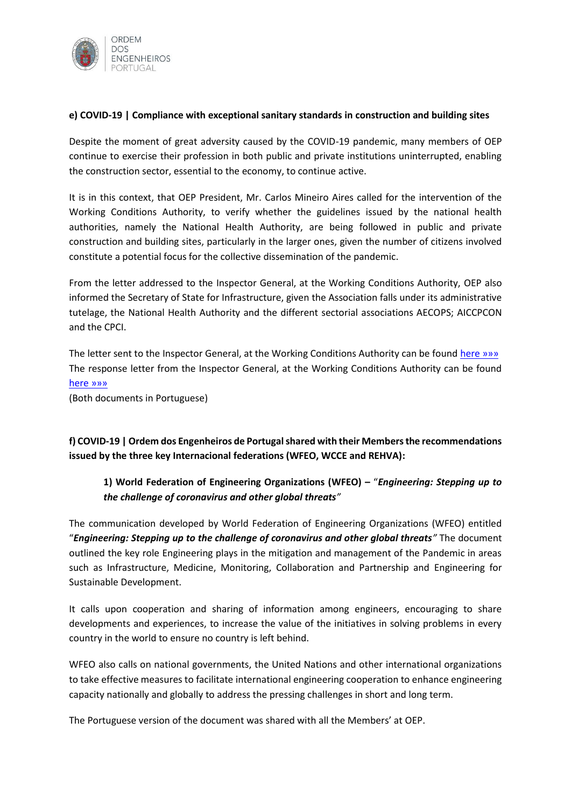

### **e) COVID-19 | Compliance with exceptional sanitary standards in construction and building sites**

Despite the moment of great adversity caused by the COVID-19 pandemic, many members of OEP continue to exercise their profession in both public and private institutions uninterrupted, enabling the construction sector, essential to the economy, to continue active.

It is in this context, that OEP President, Mr. Carlos Mineiro Aires called for the intervention of the Working Conditions Authority, to verify whether the guidelines issued by the national health authorities, namely the National Health Authority, are being followed in public and private construction and building sites, particularly in the larger ones, given the number of citizens involved constitute a potential focus for the collective dissemination of the pandemic.

From the letter addressed to the Inspector General, at the Working Conditions Authority, OEP also informed the Secretary of State for Infrastructure, given the Association falls under its administrative tutelage, the National Health Authority and the different sectorial associations AECOPS; AICCPCON and the CPCI.

The letter sent to the Inspector General, at the Working Conditions Authority can be found [here »»»](https://www.ordemengenheiros.pt/fotos/editor2/noticias/carta_act.pdf) The response letter from the Inspector General, at the Working Conditions Authority can be found [here »»»](https://www.ordemengenheiros.pt/fotos/editor2/respostaactcovid_19.pdf)

(Both documents in Portuguese)

**f) COVID-19 | Ordem dos Engenheiros de Portugalshared with their Members the recommendations issued by the three key Internacional federations (WFEO, WCCE and REHVA):** 

# **1) World Federation of Engineering Organizations (WFEO) –** "*Engineering: Stepping up to the challenge of coronavirus and other global threats"*

The communication developed by World Federation of Engineering Organizations (WFEO) entitled "*Engineering: Stepping up to the challenge of coronavirus and other global threats"* The document outlined the key role Engineering plays in the mitigation and management of the Pandemic in areas such as Infrastructure, Medicine, Monitoring, Collaboration and Partnership and Engineering for Sustainable Development.

It calls upon cooperation and sharing of information among engineers, encouraging to share developments and experiences, to increase the value of the initiatives in solving problems in every country in the world to ensure no country is left behind.

WFEO also calls on national governments, the United Nations and other international organizations to take effective measures to facilitate international engineering cooperation to enhance engineering capacity nationally and globally to address the pressing challenges in short and long term.

The Portuguese version of the document was shared with all the Members' at OEP.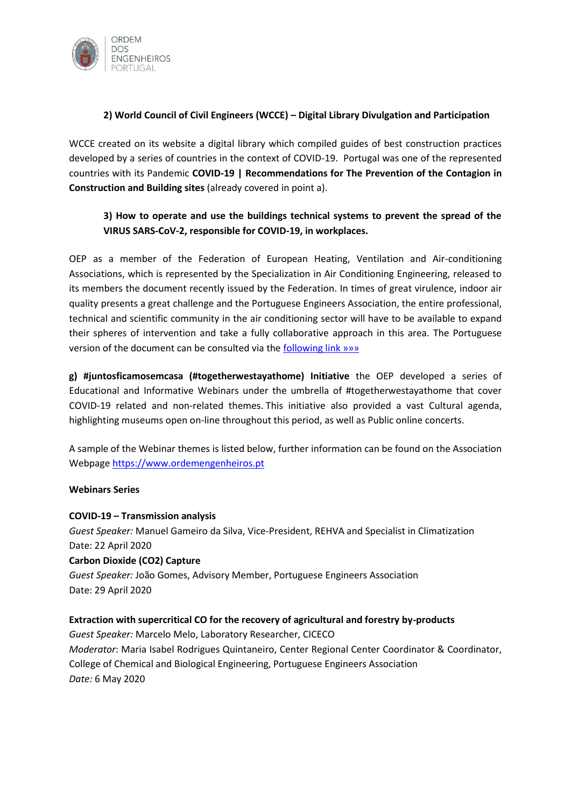

## **2) World Council of Civil Engineers (WCCE) – Digital Library Divulgation and Participation**

WCCE created on its website a digital library which compiled guides of best construction practices developed by a series of countries in the context of COVID-19. Portugal was one of the represented countries with its Pandemic **COVID-19 | Recommendations for The Prevention of the Contagion in Construction and Building sites** (already covered in point a).

# **3) How to operate and use the buildings technical systems to prevent the spread of the VIRUS SARS-CoV-2, responsible for COVID-19, in workplaces.**

OEP as a member of the Federation of European Heating, Ventilation and Air-conditioning Associations, which is represented by the Specialization in Air Conditioning Engineering, released to its members the document recently issued by the Federation. In times of great virulence, indoor air quality presents a great challenge and the Portuguese Engineers Association, the entire professional, technical and scientific community in the air conditioning sector will have to be available to expand their spheres of intervention and take a fully collaborative approach in this area. The Portuguese version of the document can be consulted via the [following link »»»](https://www.ordemengenheiros.pt/fotos/editor2/orientacoes_rehva_covid19.pdf)

**g) #juntosficamosemcasa (#togetherwestayathome) Initiative** the OEP developed a series of Educational and Informative Webinars under the umbrella of #togetherwestayathome that cover COVID-19 related and non-related themes. This initiative also provided a vast Cultural agenda, highlighting museums open on-line throughout this period, as well as Public online concerts.

A sample of the Webinar themes is listed below, further information can be found on the Association Webpage [https://www.ordemengenheiros.pt](https://www.ordemengenheiros.pt/)

## **Webinars Series**

## **COVID-19 – Transmission analysis**

*Guest Speaker:* Manuel Gameiro da Silva, Vice-President, REHVA and Specialist in Climatization Date: 22 April 2020

## **Carbon Dioxide (CO2) Capture**

*Guest Speaker:* João Gomes, Advisory Member, Portuguese Engineers Association Date: 29 April 2020

## **Extraction with supercritical CO for the recovery of agricultural and forestry by-products**

*Guest Speaker:* Marcelo Melo, Laboratory Researcher, CICECO *Moderator*: Maria Isabel Rodrigues Quintaneiro, Center Regional Center Coordinator & Coordinator, College of Chemical and Biological Engineering, Portuguese Engineers Association *Date:* 6 May 2020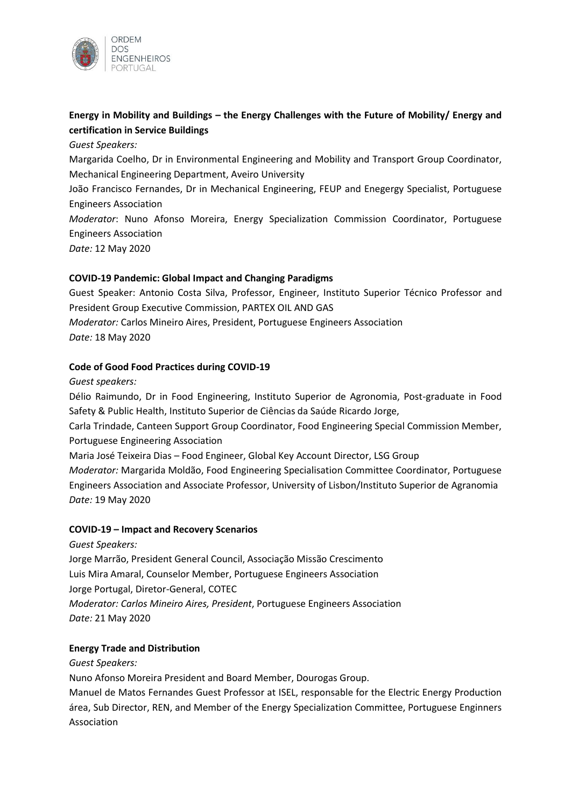

# **Energy in Mobility and Buildings – the Energy Challenges with the Future of Mobility/ Energy and certification in Service Buildings**

*Guest Speakers:* 

Margarida Coelho, Dr in Environmental Engineering and Mobility and Transport Group Coordinator, Mechanical Engineering Department, Aveiro University

João Francisco Fernandes, Dr in Mechanical Engineering, FEUP and Enegergy Specialist, Portuguese Engineers Association

*Moderator*: Nuno Afonso Moreira, Energy Specialization Commission Coordinator, Portuguese Engineers Association

*Date:* 12 May 2020

### **COVID-19 Pandemic: Global Impact and Changing Paradigms**

Guest Speaker: Antonio Costa Silva, Professor, Engineer, Instituto Superior Técnico Professor and President Group Executive Commission, PARTEX OIL AND GAS *Moderator:* Carlos Mineiro Aires, President, Portuguese Engineers Association

*Date:* 18 May 2020

### **Code of Good Food Practices during COVID-19**

*Guest speakers:*

Délio Raimundo, Dr in Food Engineering, Instituto Superior de Agronomia, Post-graduate in Food Safety & Public Health, Instituto Superior de Ciências da Saúde Ricardo Jorge,

Carla Trindade, Canteen Support Group Coordinator, Food Engineering Special Commission Member, Portuguese Engineering Association

Maria José Teixeira Dias – Food Engineer, Global Key Account Director, LSG Group

*Moderator:* Margarida Moldão, Food Engineering Specialisation Committee Coordinator, Portuguese Engineers Association and Associate Professor, University of Lisbon/Instituto Superior de Agranomia *Date:* 19 May 2020

#### **COVID-19 – Impact and Recovery Scenarios**

*Guest Speakers:*

Jorge Marrão, President General Council, Associação Missão Crescimento Luis Mira Amaral, Counselor Member, Portuguese Engineers Association Jorge Portugal, Diretor-General, COTEC *Moderator: Carlos Mineiro Aires, President*, Portuguese Engineers Association *Date:* 21 May 2020

#### **Energy Trade and Distribution**

*Guest Speakers:*

Nuno Afonso Moreira President and Board Member, Dourogas Group.

Manuel de Matos Fernandes Guest Professor at ISEL, responsable for the Electric Energy Production área, Sub Director, REN, and Member of the Energy Specialization Committee, Portuguese Enginners Association